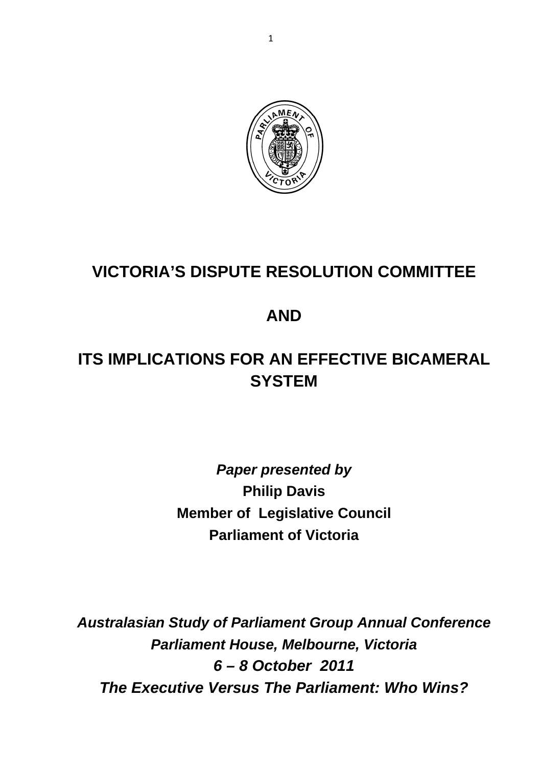

# **VICTORIA'S DISPUTE RESOLUTION COMMITTEE**

## **AND**

# **ITS IMPLICATIONS FOR AN EFFECTIVE BICAMERAL SYSTEM**

## *Paper presented by*  **Philip Davis Member of Legislative Council Parliament of Victoria**

*Australasian Study of Parliament Group Annual Conference Parliament House, Melbourne, Victoria 6 – 8 October 2011 The Executive Versus The Parliament: Who Wins?*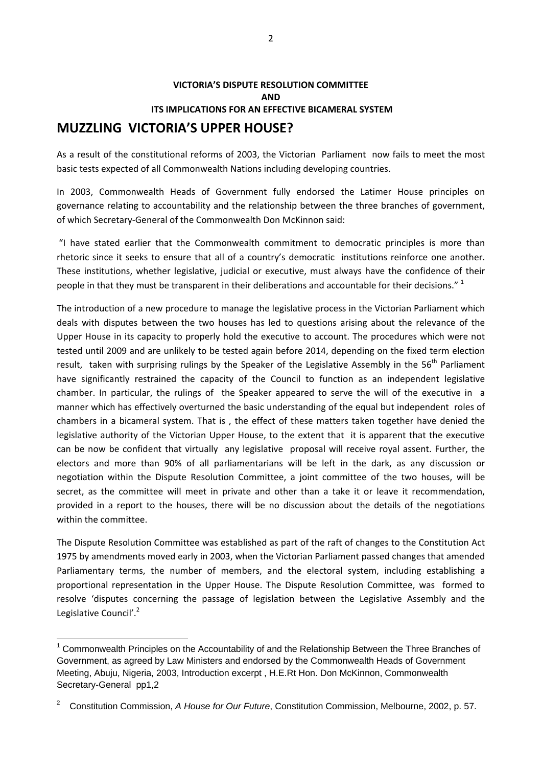## **VICTORIA'S DISPUTE RESOLUTION COMMITTEE AND ITS IMPLICATIONS FOR AN EFFECTIVE BICAMERAL SYSTEM MUZZLING VICTORIA'S UPPER HOUSE?**

As a result of the constitutional reforms of 2003, the Victorian Parliament now fails to meet the most basic tests expected of all Commonwealth Nations including developing countries.

In 2003, Commonwealth Heads of Government fully endorsed the Latimer House principles on governance relating to accountability and the relationship between the three branches of government, of which Secretary‐General of the Commonwealth Don McKinnon said:

"I have stated earlier that the Commonwealth commitment to democratic principles is more than rhetoric since it seeks to ensure that all of a country's democratic institutions reinforce one another. These institutions, whether legislative, judicial or executive, must always have the confidence of their people in that they must be transparent in their deliberations and accountable for their decisions." <sup>1</sup>

The introduction of a new procedure to manage the legislative process in the Victorian Parliament which deals with disputes between the two houses has led to questions arising about the relevance of the Upper House in its capacity to properly hold the executive to account. The procedures which were not tested until 2009 and are unlikely to be tested again before 2014, depending on the fixed term election result, taken with surprising rulings by the Speaker of the Legislative Assembly in the 56<sup>th</sup> Parliament have significantly restrained the capacity of the Council to function as an independent legislative chamber. In particular, the rulings of the Speaker appeared to serve the will of the executive in a manner which has effectively overturned the basic understanding of the equal but independent roles of chambers in a bicameral system. That is , the effect of these matters taken together have denied the legislative authority of the Victorian Upper House, to the extent that it is apparent that the executive can be now be confident that virtually any legislative proposal will receive royal assent. Further, the electors and more than 90% of all parliamentarians will be left in the dark, as any discussion or negotiation within the Dispute Resolution Committee, a joint committee of the two houses, will be secret, as the committee will meet in private and other than a take it or leave it recommendation, provided in a report to the houses, there will be no discussion about the details of the negotiations within the committee.

The Dispute Resolution Committee was established as part of the raft of changes to the Constitution Act 1975 by amendments moved early in 2003, when the Victorian Parliament passed changes that amended Parliamentary terms, the number of members, and the electoral system, including establishing a proportional representation in the Upper House. The Dispute Resolution Committee, was formed to resolve 'disputes concerning the passage of legislation between the Legislative Assembly and the Legislative Council'.<sup>2</sup>

<u> 1989 - Andrea Brand, Amerikaansk politiker (</u>

 $1$  Commonwealth Principles on the Accountability of and the Relationship Between the Three Branches of Government, as agreed by Law Ministers and endorsed by the Commonwealth Heads of Government Meeting, Abuju, Nigeria, 2003, Introduction excerpt , H.E.Rt Hon. Don McKinnon, Commonwealth Secretary-General pp1,2

<sup>2</sup> Constitution Commission, *A House for Our Future*, Constitution Commission, Melbourne, 2002, p. 57.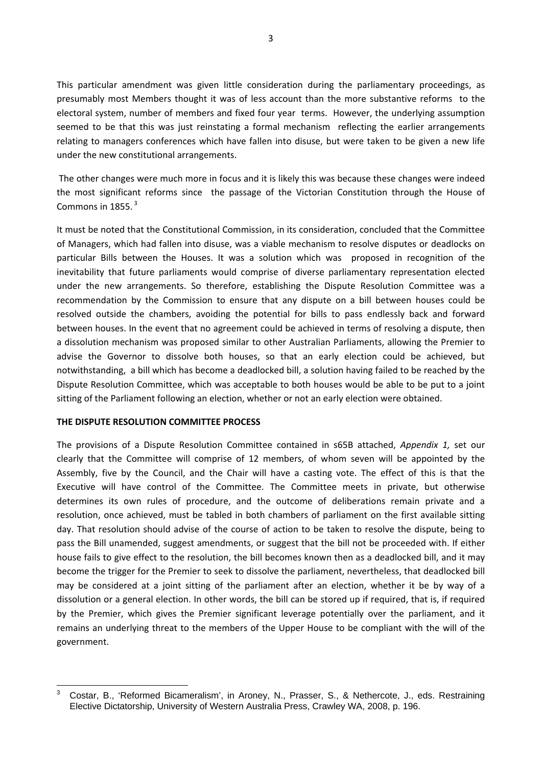This particular amendment was given little consideration during the parliamentary proceedings, as presumably most Members thought it was of less account than the more substantive reforms to the electoral system, number of members and fixed four year terms. However, the underlying assumption seemed to be that this was just reinstating a formal mechanism reflecting the earlier arrangements relating to managers conferences which have fallen into disuse, but were taken to be given a new life under the new constitutional arrangements.

The other changes were much more in focus and it is likely this was because these changes were indeed the most significant reforms since the passage of the Victorian Constitution through the House of Commons in 1855. $3$ 

It must be noted that the Constitutional Commission, in its consideration, concluded that the Committee of Managers, which had fallen into disuse, was a viable mechanism to resolve disputes or deadlocks on particular Bills between the Houses. It was a solution which was proposed in recognition of the inevitability that future parliaments would comprise of diverse parliamentary representation elected under the new arrangements. So therefore, establishing the Dispute Resolution Committee was a recommendation by the Commission to ensure that any dispute on a bill between houses could be resolved outside the chambers, avoiding the potential for bills to pass endlessly back and forward between houses. In the event that no agreement could be achieved in terms of resolving a dispute, then a dissolution mechanism was proposed similar to other Australian Parliaments, allowing the Premier to advise the Governor to dissolve both houses, so that an early election could be achieved, but notwithstanding, a bill which has become a deadlocked bill, a solution having failed to be reached by the Dispute Resolution Committee, which was acceptable to both houses would be able to be put to a joint sitting of the Parliament following an election, whether or not an early election were obtained.

#### **THE DISPUTE RESOLUTION COMMITTEE PROCESS**

The provisions of a Dispute Resolution Committee contained in s65B attached, *Appendix 1,* set our clearly that the Committee will comprise of 12 members, of whom seven will be appointed by the Assembly, five by the Council, and the Chair will have a casting vote. The effect of this is that the Executive will have control of the Committee. The Committee meets in private, but otherwise determines its own rules of procedure, and the outcome of deliberations remain private and a resolution, once achieved, must be tabled in both chambers of parliament on the first available sitting day. That resolution should advise of the course of action to be taken to resolve the dispute, being to pass the Bill unamended, suggest amendments, or suggest that the bill not be proceeded with. If either house fails to give effect to the resolution, the bill becomes known then as a deadlocked bill, and it may become the trigger for the Premier to seek to dissolve the parliament, nevertheless, that deadlocked bill may be considered at a joint sitting of the parliament after an election, whether it be by way of a dissolution or a general election. In other words, the bill can be stored up if required, that is, if required by the Premier, which gives the Premier significant leverage potentially over the parliament, and it remains an underlying threat to the members of the Upper House to be compliant with the will of the government.

 3 Costar, B., 'Reformed Bicameralism', in Aroney, N., Prasser, S., & Nethercote, J., eds. Restraining Elective Dictatorship, University of Western Australia Press, Crawley WA, 2008, p. 196.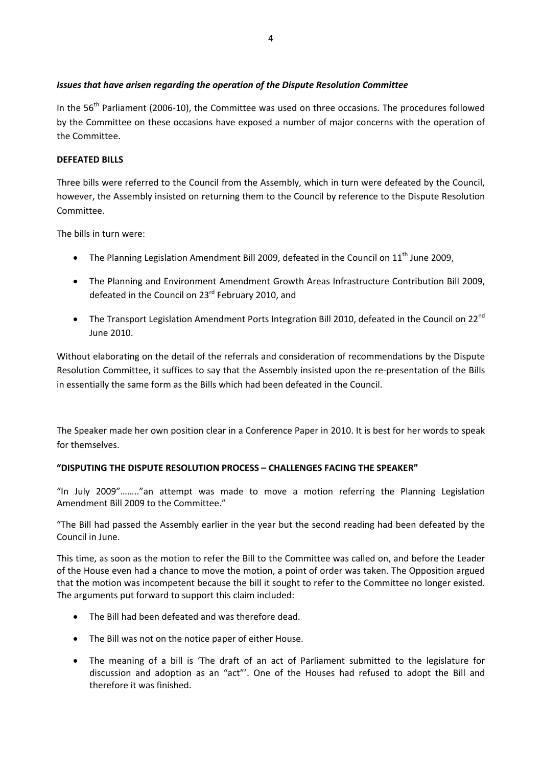## *Issues that have arisen regarding the operation of the Dispute Resolution Committee*

In the 56<sup>th</sup> Parliament (2006-10), the Committee was used on three occasions. The procedures followed by the Committee on these occasions have exposed a number of major concerns with the operation of the Committee.

### **DEFEATED BILLS**

Three bills were referred to the Council from the Assembly, which in turn were defeated by the Council, however, the Assembly insisted on returning them to the Council by reference to the Dispute Resolution Committee.

The bills in turn were:

- The Planning Legislation Amendment Bill 2009, defeated in the Council on  $11<sup>th</sup>$  June 2009,
- The Planning and Environment Amendment Growth Areas Infrastructure Contribution Bill 2009, defeated in the Council on 23<sup>rd</sup> February 2010, and
- The Transport Legislation Amendment Ports Integration Bill 2010, defeated in the Council on 22<sup>nd</sup> June 2010.

Without elaborating on the detail of the referrals and consideration of recommendations by the Dispute Resolution Committee, it suffices to say that the Assembly insisted upon the re-presentation of the Bills in essentially the same form as the Bills which had been defeated in the Council.

The Speaker made her own position clear in a Conference Paper in 2010. It is best for her words to speak for themselves.

## **"DISPUTING THE DISPUTE RESOLUTION PROCESS – CHALLENGES FACING THE SPEAKER"**

"In July 2009"…….."an attempt was made to move a motion referring the Planning Legislation Amendment Bill 2009 to the Committee."

"The Bill had passed the Assembly earlier in the year but the second reading had been defeated by the Council in June.

This time, as soon as the motion to refer the Bill to the Committee was called on, and before the Leader of the House even had a chance to move the motion, a point of order was taken. The Opposition argued that the motion was incompetent because the bill it sought to refer to the Committee no longer existed. The arguments put forward to support this claim included:

- The Bill had been defeated and was therefore dead.
- The Bill was not on the notice paper of either House.
- The meaning of a bill is 'The draft of an act of Parliament submitted to the legislature for discussion and adoption as an "act"'. One of the Houses had refused to adopt the Bill and therefore it was finished.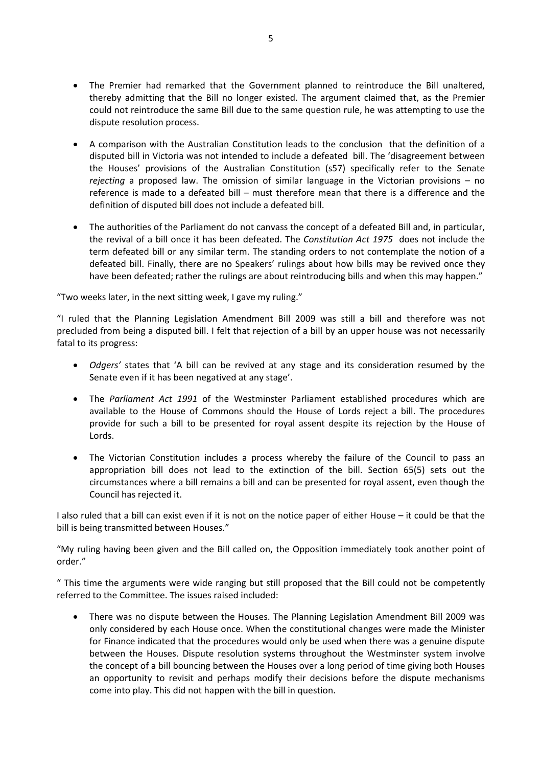- The Premier had remarked that the Government planned to reintroduce the Bill unaltered, thereby admitting that the Bill no longer existed. The argument claimed that, as the Premier could not reintroduce the same Bill due to the same question rule, he was attempting to use the dispute resolution process.
- A comparison with the Australian Constitution leads to the conclusion that the definition of a disputed bill in Victoria was not intended to include a defeated bill. The 'disagreement between the Houses' provisions of the Australian Constitution (s57) specifically refer to the Senate *rejecting* a proposed law. The omission of similar language in the Victorian provisions – no reference is made to a defeated bill – must therefore mean that there is a difference and the definition of disputed bill does not include a defeated bill.
- The authorities of the Parliament do not canvass the concept of a defeated Bill and, in particular, the revival of a bill once it has been defeated. The *Constitution Act 1975* does not include the term defeated bill or any similar term. The standing orders to not contemplate the notion of a defeated bill. Finally, there are no Speakers' rulings about how bills may be revived once they have been defeated; rather the rulings are about reintroducing bills and when this may happen."

"Two weeks later, in the next sitting week, I gave my ruling."

"I ruled that the Planning Legislation Amendment Bill 2009 was still a bill and therefore was not precluded from being a disputed bill. I felt that rejection of a bill by an upper house was not necessarily fatal to its progress:

- *Odgers'* states that 'A bill can be revived at any stage and its consideration resumed by the Senate even if it has been negatived at any stage'.
- The *Parliament Act 1991* of the Westminster Parliament established procedures which are available to the House of Commons should the House of Lords reject a bill. The procedures provide for such a bill to be presented for royal assent despite its rejection by the House of Lords.
- The Victorian Constitution includes a process whereby the failure of the Council to pass an appropriation bill does not lead to the extinction of the bill. Section 65(5) sets out the circumstances where a bill remains a bill and can be presented for royal assent, even though the Council has rejected it.

I also ruled that a bill can exist even if it is not on the notice paper of either House – it could be that the bill is being transmitted between Houses."

"My ruling having been given and the Bill called on, the Opposition immediately took another point of order."

" This time the arguments were wide ranging but still proposed that the Bill could not be competently referred to the Committee. The issues raised included:

 There was no dispute between the Houses. The Planning Legislation Amendment Bill 2009 was only considered by each House once. When the constitutional changes were made the Minister for Finance indicated that the procedures would only be used when there was a genuine dispute between the Houses. Dispute resolution systems throughout the Westminster system involve the concept of a bill bouncing between the Houses over a long period of time giving both Houses an opportunity to revisit and perhaps modify their decisions before the dispute mechanisms come into play. This did not happen with the bill in question.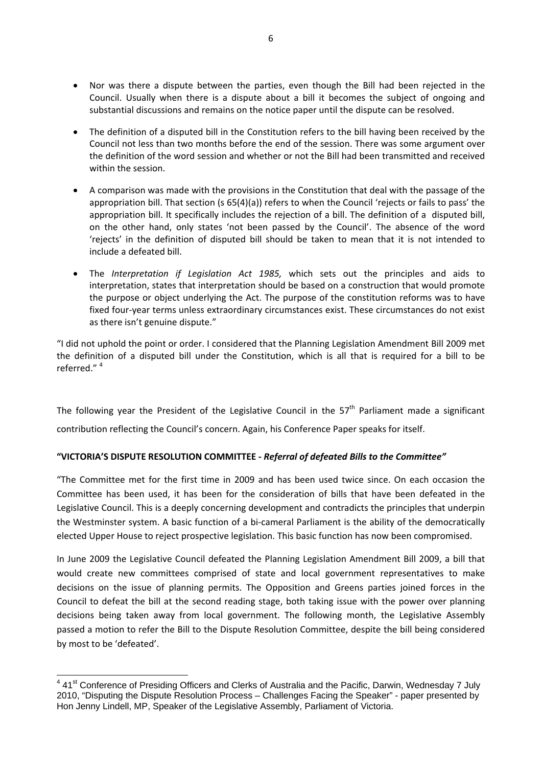- Nor was there a dispute between the parties, even though the Bill had been rejected in the Council. Usually when there is a dispute about a bill it becomes the subject of ongoing and substantial discussions and remains on the notice paper until the dispute can be resolved.
- The definition of a disputed bill in the Constitution refers to the bill having been received by the Council not less than two months before the end of the session. There was some argument over the definition of the word session and whether or not the Bill had been transmitted and received within the session.
- A comparison was made with the provisions in the Constitution that deal with the passage of the appropriation bill. That section (s 65(4)(a)) refers to when the Council 'rejects or fails to pass' the appropriation bill. It specifically includes the rejection of a bill. The definition of a disputed bill, on the other hand, only states 'not been passed by the Council'. The absence of the word 'rejects' in the definition of disputed bill should be taken to mean that it is not intended to include a defeated bill.
- The *Interpretation if Legislation Act 1985,* which sets out the principles and aids to interpretation, states that interpretation should be based on a construction that would promote the purpose or object underlying the Act. The purpose of the constitution reforms was to have fixed four-year terms unless extraordinary circumstances exist. These circumstances do not exist as there isn't genuine dispute."

"I did not uphold the point or order. I considered that the Planning Legislation Amendment Bill 2009 met the definition of a disputed bill under the Constitution, which is all that is required for a bill to be referred."<sup>4</sup>

The following year the President of the Legislative Council in the  $57<sup>th</sup>$  Parliament made a significant contribution reflecting the Council's concern. Again, his Conference Paper speaks for itself.

## **"VICTORIA'S DISPUTE RESOLUTION COMMITTEE ‐** *Referral of defeated Bills to the Committee"*

"The Committee met for the first time in 2009 and has been used twice since. On each occasion the Committee has been used, it has been for the consideration of bills that have been defeated in the Legislative Council. This is a deeply concerning development and contradicts the principles that underpin the Westminster system. A basic function of a bi‐cameral Parliament is the ability of the democratically elected Upper House to reject prospective legislation. This basic function has now been compromised.

In June 2009 the Legislative Council defeated the Planning Legislation Amendment Bill 2009, a bill that would create new committees comprised of state and local government representatives to make decisions on the issue of planning permits. The Opposition and Greens parties joined forces in the Council to defeat the bill at the second reading stage, both taking issue with the power over planning decisions being taken away from local government. The following month, the Legislative Assembly passed a motion to refer the Bill to the Dispute Resolution Committee, despite the bill being considered by most to be 'defeated'.

<sup>&</sup>lt;u>4</u><br><sup>4</sup> 41<sup>st</sup> Conference of Presiding Officers and Clerks of Australia and the Pacific, Darwin, Wednesday 7 July 2010, "Disputing the Dispute Resolution Process – Challenges Facing the Speaker" - paper presented by Hon Jenny Lindell, MP, Speaker of the Legislative Assembly, Parliament of Victoria.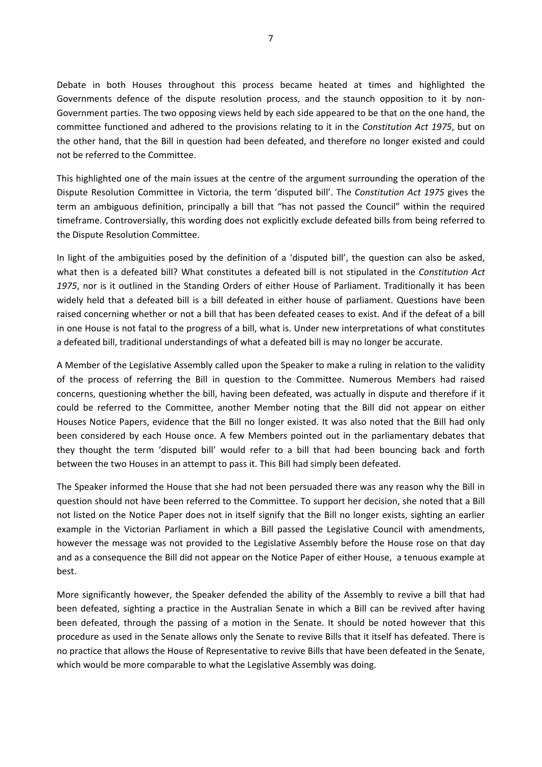Debate in both Houses throughout this process became heated at times and highlighted the Governments defence of the dispute resolution process, and the staunch opposition to it by non-Government parties. The two opposing views held by each side appeared to be that on the one hand, the committee functioned and adhered to the provisions relating to it in the *Constitution Act 1975*, but on the other hand, that the Bill in question had been defeated, and therefore no longer existed and could not be referred to the Committee.

This highlighted one of the main issues at the centre of the argument surrounding the operation of the Dispute Resolution Committee in Victoria, the term 'disputed bill'. The *Constitution Act 1975* gives the term an ambiguous definition, principally a bill that "has not passed the Council" within the required timeframe. Controversially, this wording does not explicitly exclude defeated bills from being referred to the Dispute Resolution Committee.

In light of the ambiguities posed by the definition of a 'disputed bill', the question can also be asked, what then is a defeated bill? What constitutes a defeated bill is not stipulated in the *Constitution Act 1975*, nor is it outlined in the Standing Orders of either House of Parliament. Traditionally it has been widely held that a defeated bill is a bill defeated in either house of parliament. Questions have been raised concerning whether or not a bill that has been defeated ceases to exist. And if the defeat of a bill in one House is not fatal to the progress of a bill, what is. Under new interpretations of what constitutes a defeated bill, traditional understandings of what a defeated bill is may no longer be accurate.

A Member of the Legislative Assembly called upon the Speaker to make a ruling in relation to the validity of the process of referring the Bill in question to the Committee. Numerous Members had raised concerns, questioning whether the bill, having been defeated, was actually in dispute and therefore if it could be referred to the Committee, another Member noting that the Bill did not appear on either Houses Notice Papers, evidence that the Bill no longer existed. It was also noted that the Bill had only been considered by each House once. A few Members pointed out in the parliamentary debates that they thought the term 'disputed bill' would refer to a bill that had been bouncing back and forth between the two Houses in an attempt to pass it. This Bill had simply been defeated.

The Speaker informed the House that she had not been persuaded there was any reason why the Bill in question should not have been referred to the Committee. To support her decision, she noted that a Bill not listed on the Notice Paper does not in itself signify that the Bill no longer exists, sighting an earlier example in the Victorian Parliament in which a Bill passed the Legislative Council with amendments, however the message was not provided to the Legislative Assembly before the House rose on that day and as a consequence the Bill did not appear on the Notice Paper of either House, a tenuous example at best.

More significantly however, the Speaker defended the ability of the Assembly to revive a bill that had been defeated, sighting a practice in the Australian Senate in which a Bill can be revived after having been defeated, through the passing of a motion in the Senate. It should be noted however that this procedure as used in the Senate allows only the Senate to revive Bills that it itself has defeated. There is no practice that allows the House of Representative to revive Bills that have been defeated in the Senate, which would be more comparable to what the Legislative Assembly was doing.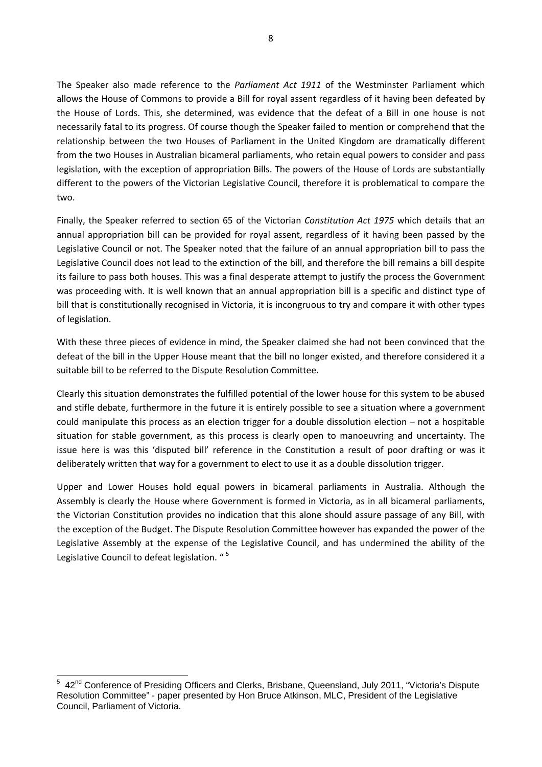The Speaker also made reference to the *Parliament Act 1911* of the Westminster Parliament which allows the House of Commons to provide a Bill for royal assent regardless of it having been defeated by the House of Lords. This, she determined, was evidence that the defeat of a Bill in one house is not necessarily fatal to its progress. Of course though the Speaker failed to mention or comprehend that the relationship between the two Houses of Parliament in the United Kingdom are dramatically different from the two Houses in Australian bicameral parliaments, who retain equal powers to consider and pass legislation, with the exception of appropriation Bills. The powers of the House of Lords are substantially different to the powers of the Victorian Legislative Council, therefore it is problematical to compare the two.

Finally, the Speaker referred to section 65 of the Victorian *Constitution Act 1975* which details that an annual appropriation bill can be provided for royal assent, regardless of it having been passed by the Legislative Council or not. The Speaker noted that the failure of an annual appropriation bill to pass the Legislative Council does not lead to the extinction of the bill, and therefore the bill remains a bill despite its failure to pass both houses. This was a final desperate attempt to justify the process the Government was proceeding with. It is well known that an annual appropriation bill is a specific and distinct type of bill that is constitutionally recognised in Victoria, it is incongruous to try and compare it with other types of legislation.

With these three pieces of evidence in mind, the Speaker claimed she had not been convinced that the defeat of the bill in the Upper House meant that the bill no longer existed, and therefore considered it a suitable bill to be referred to the Dispute Resolution Committee.

Clearly this situation demonstrates the fulfilled potential of the lower house for this system to be abused and stifle debate, furthermore in the future it is entirely possible to see a situation where a government could manipulate this process as an election trigger for a double dissolution election – not a hospitable situation for stable government, as this process is clearly open to manoeuvring and uncertainty. The issue here is was this 'disputed bill' reference in the Constitution a result of poor drafting or was it deliberately written that way for a government to elect to use it as a double dissolution trigger.

Upper and Lower Houses hold equal powers in bicameral parliaments in Australia. Although the Assembly is clearly the House where Government is formed in Victoria, as in all bicameral parliaments, the Victorian Constitution provides no indication that this alone should assure passage of any Bill, with the exception of the Budget. The Dispute Resolution Committee however has expanded the power of the Legislative Assembly at the expense of the Legislative Council, and has undermined the ability of the Legislative Council to defeat legislation. "<sup>5</sup>

 5 42nd Conference of Presiding Officers and Clerks, Brisbane, Queensland, July 2011, "Victoria's Dispute Resolution Committee" - paper presented by Hon Bruce Atkinson, MLC, President of the Legislative Council, Parliament of Victoria.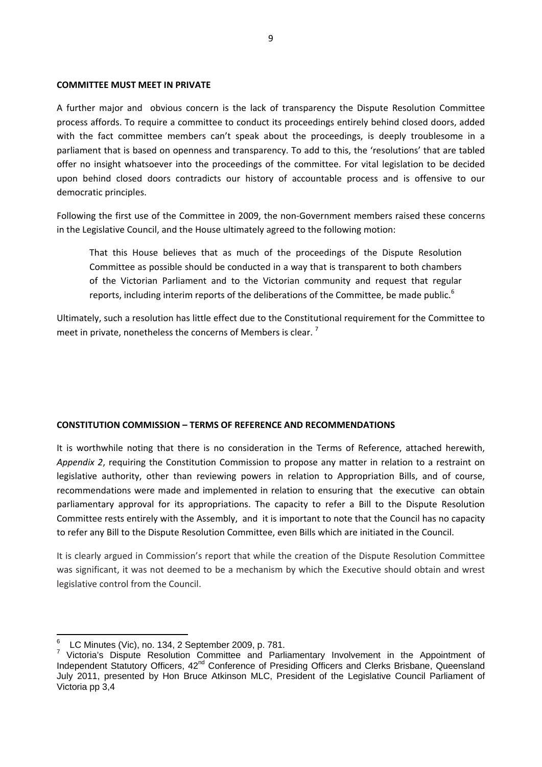#### **COMMITTEE MUST MEET IN PRIVATE**

A further major and obvious concern is the lack of transparency the Dispute Resolution Committee process affords. To require a committee to conduct its proceedings entirely behind closed doors, added with the fact committee members can't speak about the proceedings, is deeply troublesome in a parliament that is based on openness and transparency. To add to this, the 'resolutions' that are tabled offer no insight whatsoever into the proceedings of the committee. For vital legislation to be decided upon behind closed doors contradicts our history of accountable process and is offensive to our democratic principles.

Following the first use of the Committee in 2009, the non‐Government members raised these concerns in the Legislative Council, and the House ultimately agreed to the following motion:

That this House believes that as much of the proceedings of the Dispute Resolution Committee as possible should be conducted in a way that is transparent to both chambers of the Victorian Parliament and to the Victorian community and request that regular reports, including interim reports of the deliberations of the Committee, be made public.<sup>6</sup>

Ultimately, such a resolution has little effect due to the Constitutional requirement for the Committee to meet in private, nonetheless the concerns of Members is clear.<sup>7</sup>

#### **CONSTITUTION COMMISSION – TERMS OF REFERENCE AND RECOMMENDATIONS**

It is worthwhile noting that there is no consideration in the Terms of Reference, attached herewith, *Appendix 2*, requiring the Constitution Commission to propose any matter in relation to a restraint on legislative authority, other than reviewing powers in relation to Appropriation Bills, and of course, recommendations were made and implemented in relation to ensuring that the executive can obtain parliamentary approval for its appropriations. The capacity to refer a Bill to the Dispute Resolution Committee rests entirely with the Assembly, and it is important to note that the Council has no capacity to refer any Bill to the Dispute Resolution Committee, even Bills which are initiated in the Council.

It is clearly argued in Commission's report that while the creation of the Dispute Resolution Committee was significant, it was not deemed to be a mechanism by which the Executive should obtain and wrest legislative control from the Council.

<sup>6</sup> LC Minutes (Vic), no. 134, 2 September 2009, p. 781.

<sup>&</sup>lt;sup>7</sup> Victoria's Dispute Resolution Committee and Parliamentary Involvement in the Appointment of Independent Statutory Officers, 42<sup>nd</sup> Conference of Presiding Officers and Clerks Brisbane, Queensland July 2011, presented by Hon Bruce Atkinson MLC, President of the Legislative Council Parliament of Victoria pp 3,4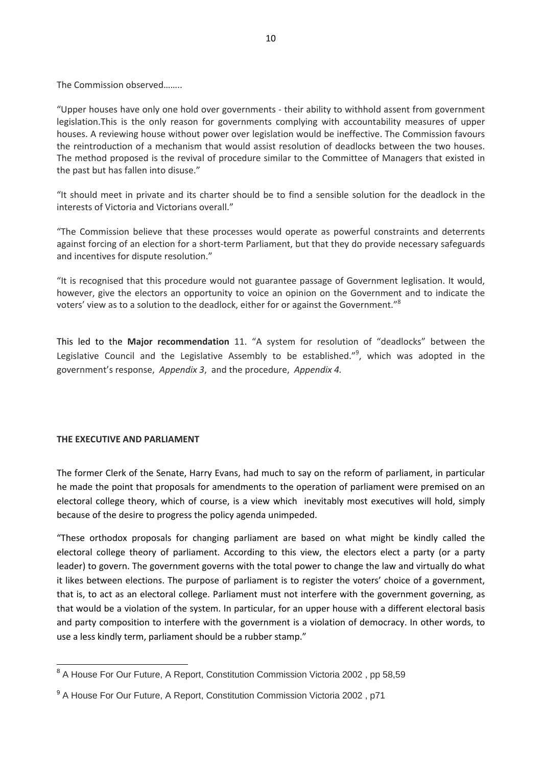The Commission observed……..

"Upper houses have only one hold over governments ‐ their ability to withhold assent from government legislation.This is the only reason for governments complying with accountability measures of upper houses. A reviewing house without power over legislation would be ineffective. The Commission favours the reintroduction of a mechanism that would assist resolution of deadlocks between the two houses. The method proposed is the revival of procedure similar to the Committee of Managers that existed in the past but has fallen into disuse."

"It should meet in private and its charter should be to find a sensible solution for the deadlock in the interests of Victoria and Victorians overall."

"The Commission believe that these processes would operate as powerful constraints and deterrents against forcing of an election for a short-term Parliament, but that they do provide necessary safeguards and incentives for dispute resolution."

"It is recognised that this procedure would not guarantee passage of Government leglisation. It would, however, give the electors an opportunity to voice an opinion on the Government and to indicate the voters' view as to a solution to the deadlock, either for or against the Government."<sup>8</sup>

This led to the **Major recommendation** 11. "A system for resolution of "deadlocks" between the Legislative Council and the Legislative Assembly to be established."<sup>9</sup>, which was adopted in the government's response, *Appendix 3*, and the procedure, *Appendix 4.*

#### **THE EXECUTIVE AND PARLIAMENT**

The former Clerk of the Senate, Harry Evans, had much to say on the reform of parliament, in particular he made the point that proposals for amendments to the operation of parliament were premised on an electoral college theory, which of course, is a view which inevitably most executives will hold, simply because of the desire to progress the policy agenda unimpeded.

"These orthodox proposals for changing parliament are based on what might be kindly called the electoral college theory of parliament. According to this view, the electors elect a party (or a party leader) to govern. The government governs with the total power to change the law and virtually do what it likes between elections. The purpose of parliament is to register the voters' choice of a government, that is, to act as an electoral college. Parliament must not interfere with the government governing, as that would be a violation of the system. In particular, for an upper house with a different electoral basis and party composition to interfere with the government is a violation of democracy. In other words, to use a less kindly term, parliament should be a rubber stamp."

 <sup>8</sup> A House For Our Future, A Report, Constitution Commission Victoria 2002, pp 58,59

<sup>&</sup>lt;sup>9</sup> A House For Our Future, A Report, Constitution Commission Victoria 2002, p71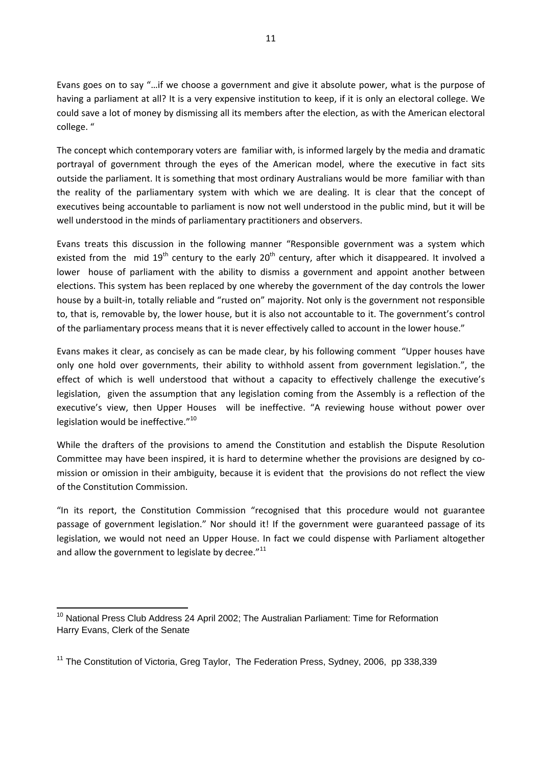Evans goes on to say "…if we choose a government and give it absolute power, what is the purpose of having a parliament at all? It is a very expensive institution to keep, if it is only an electoral college. We could save a lot of money by dismissing all its members after the election, as with the American electoral college. "

The concept which contemporary voters are familiar with, is informed largely by the media and dramatic portrayal of government through the eyes of the American model, where the executive in fact sits outside the parliament. It is something that most ordinary Australians would be more familiar with than the reality of the parliamentary system with which we are dealing. It is clear that the concept of executives being accountable to parliament is now not well understood in the public mind, but it will be well understood in the minds of parliamentary practitioners and observers.

Evans treats this discussion in the following manner "Responsible government was a system which existed from the mid  $19^{th}$  century to the early  $20^{th}$  century, after which it disappeared. It involved a lower house of parliament with the ability to dismiss a government and appoint another between elections. This system has been replaced by one whereby the government of the day controls the lower house by a built-in, totally reliable and "rusted on" majority. Not only is the government not responsible to, that is, removable by, the lower house, but it is also not accountable to it. The government's control of the parliamentary process means that it is never effectively called to account in the lower house."

Evans makes it clear, as concisely as can be made clear, by his following comment "Upper houses have only one hold over governments, their ability to withhold assent from government legislation.", the effect of which is well understood that without a capacity to effectively challenge the executive's legislation, given the assumption that any legislation coming from the Assembly is a reflection of the executive's view, then Upper Houses will be ineffective. "A reviewing house without power over legislation would be ineffective."<sup>10</sup>

While the drafters of the provisions to amend the Constitution and establish the Dispute Resolution Committee may have been inspired, it is hard to determine whether the provisions are designed by co‐ mission or omission in their ambiguity, because it is evident that the provisions do not reflect the view of the Constitution Commission.

"In its report, the Constitution Commission "recognised that this procedure would not guarantee passage of government legislation." Nor should it! If the government were guaranteed passage of its legislation, we would not need an Upper House. In fact we could dispense with Parliament altogether and allow the government to legislate by decree. $"^{11}$ 

 <sup>10</sup> National Press Club Address 24 April 2002; The Australian Parliament: Time for Reformation Harry Evans, Clerk of the Senate

<sup>&</sup>lt;sup>11</sup> The Constitution of Victoria, Greg Taylor, The Federation Press, Sydney, 2006, pp 338,339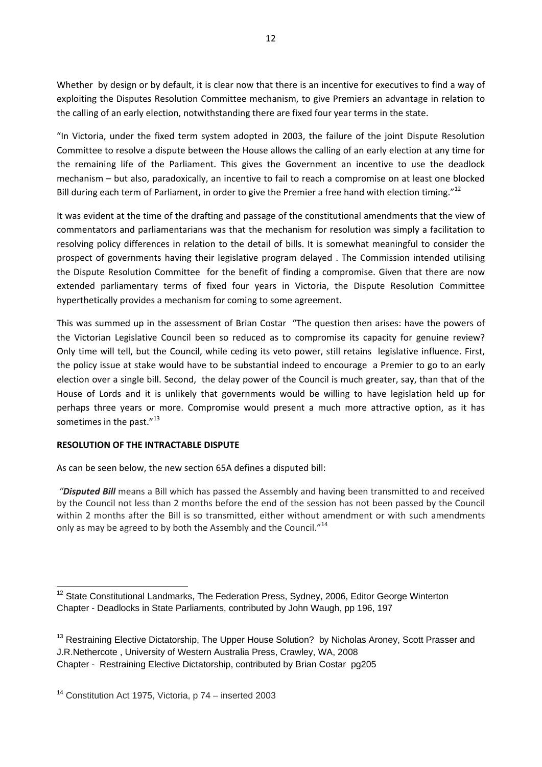Whether by design or by default, it is clear now that there is an incentive for executives to find a way of exploiting the Disputes Resolution Committee mechanism, to give Premiers an advantage in relation to the calling of an early election, notwithstanding there are fixed four year terms in the state.

"In Victoria, under the fixed term system adopted in 2003, the failure of the joint Dispute Resolution Committee to resolve a dispute between the House allows the calling of an early election at any time for the remaining life of the Parliament. This gives the Government an incentive to use the deadlock mechanism – but also, paradoxically, an incentive to fail to reach a compromise on at least one blocked Bill during each term of Parliament, in order to give the Premier a free hand with election timing."<sup>12</sup>

It was evident at the time of the drafting and passage of the constitutional amendments that the view of commentators and parliamentarians was that the mechanism for resolution was simply a facilitation to resolving policy differences in relation to the detail of bills. It is somewhat meaningful to consider the prospect of governments having their legislative program delayed . The Commission intended utilising the Dispute Resolution Committee for the benefit of finding a compromise. Given that there are now extended parliamentary terms of fixed four years in Victoria, the Dispute Resolution Committee hyperthetically provides a mechanism for coming to some agreement.

This was summed up in the assessment of Brian Costar "The question then arises: have the powers of the Victorian Legislative Council been so reduced as to compromise its capacity for genuine review? Only time will tell, but the Council, while ceding its veto power, still retains legislative influence. First, the policy issue at stake would have to be substantial indeed to encourage a Premier to go to an early election over a single bill. Second, the delay power of the Council is much greater, say, than that of the House of Lords and it is unlikely that governments would be willing to have legislation held up for perhaps three years or more. Compromise would present a much more attractive option, as it has sometimes in the past."<sup>13</sup>

## **RESOLUTION OF THE INTRACTABLE DISPUTE**

As can be seen below, the new section 65A defines a disputed bill:

*"Disputed Bill* means a Bill which has passed the Assembly and having been transmitted to and received by the Council not less than 2 months before the end of the session has not been passed by the Council within 2 months after the Bill is so transmitted, either without amendment or with such amendments only as may be agreed to by both the Assembly and the Council."<sup>14</sup>

  $12$  State Constitutional Landmarks, The Federation Press, Sydney, 2006, Editor George Winterton Chapter - Deadlocks in State Parliaments, contributed by John Waugh, pp 196, 197

<sup>&</sup>lt;sup>13</sup> Restraining Elective Dictatorship, The Upper House Solution? by Nicholas Aroney, Scott Prasser and J.R.Nethercote , University of Western Australia Press, Crawley, WA, 2008 Chapter - Restraining Elective Dictatorship, contributed by Brian Costar pg205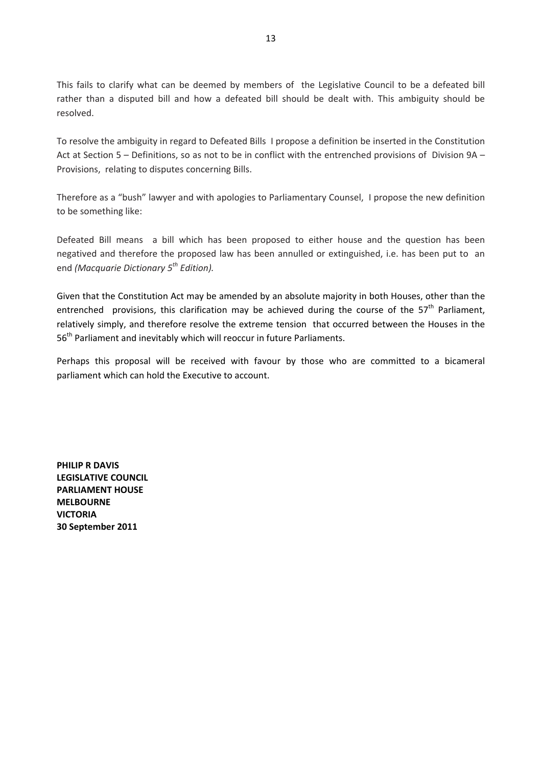This fails to clarify what can be deemed by members of the Legislative Council to be a defeated bill rather than a disputed bill and how a defeated bill should be dealt with. This ambiguity should be resolved.

To resolve the ambiguity in regard to Defeated Bills I propose a definition be inserted in the Constitution Act at Section 5 – Definitions, so as not to be in conflict with the entrenched provisions of Division 9A – Provisions, relating to disputes concerning Bills.

Therefore as a "bush" lawyer and with apologies to Parliamentary Counsel, I propose the new definition to be something like:

Defeated Bill means a bill which has been proposed to either house and the question has been negatived and therefore the proposed law has been annulled or extinguished, i.e. has been put to an end *(Macquarie Dictionary 5th Edition).*

Given that the Constitution Act may be amended by an absolute majority in both Houses, other than the entrenched provisions, this clarification may be achieved during the course of the  $57<sup>th</sup>$  Parliament, relatively simply, and therefore resolve the extreme tension that occurred between the Houses in the 56<sup>th</sup> Parliament and inevitably which will reoccur in future Parliaments.

Perhaps this proposal will be received with favour by those who are committed to a bicameral parliament which can hold the Executive to account.

**PHILIP R DAVIS LEGISLATIVE COUNCIL PARLIAMENT HOUSE MELBOURNE VICTORIA 30 September 2011**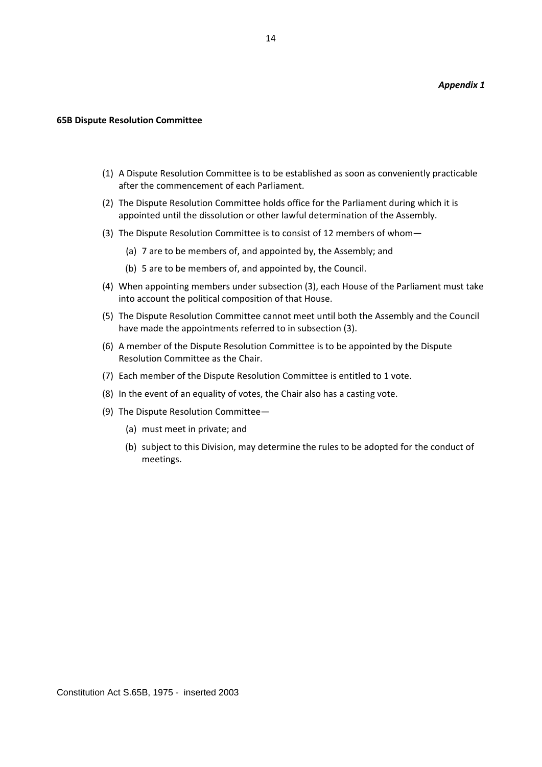#### **65B Dispute Resolution Committee**

- (1) A Dispute Resolution Committee is to be established as soon as conveniently practicable after the commencement of each Parliament.
- (2) The Dispute Resolution Committee holds office for the Parliament during which it is appointed until the dissolution or other lawful determination of the Assembly.
- (3) The Dispute Resolution Committee is to consist of 12 members of whom—
	- (a) 7 are to be members of, and appointed by, the Assembly; and
	- (b) 5 are to be members of, and appointed by, the Council.
- (4) When appointing members under subsection (3), each House of the Parliament must take into account the political composition of that House.
- (5) The Dispute Resolution Committee cannot meet until both the Assembly and the Council have made the appointments referred to in subsection (3).
- (6) A member of the Dispute Resolution Committee is to be appointed by the Dispute Resolution Committee as the Chair.
- (7) Each member of the Dispute Resolution Committee is entitled to 1 vote.
- (8) In the event of an equality of votes, the Chair also has a casting vote.
- (9) The Dispute Resolution Committee—
	- (a) must meet in private; and
	- (b) subject to this Division, may determine the rules to be adopted for the conduct of meetings.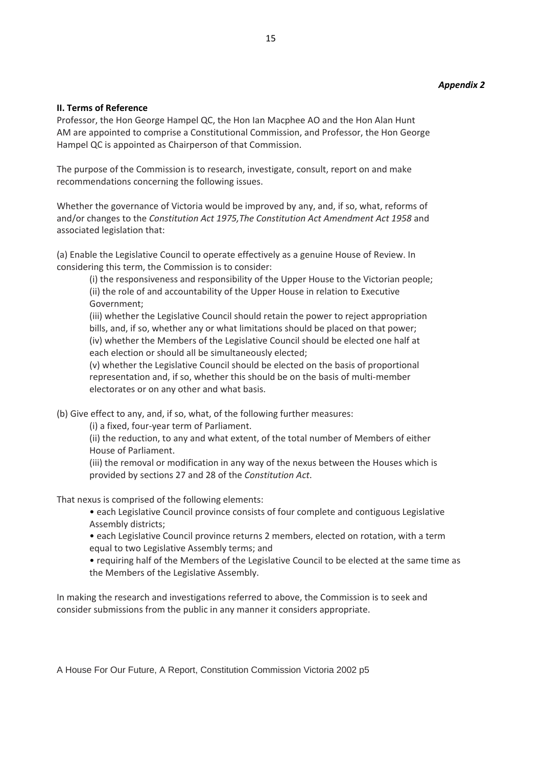## **II. Terms of Reference**

Professor, the Hon George Hampel QC, the Hon Ian Macphee AO and the Hon Alan Hunt AM are appointed to comprise a Constitutional Commission, and Professor, the Hon George Hampel QC is appointed as Chairperson of that Commission.

The purpose of the Commission is to research, investigate, consult, report on and make recommendations concerning the following issues.

Whether the governance of Victoria would be improved by any, and, if so, what, reforms of and/or changes to the *Constitution Act 1975,The Constitution Act Amendment Act 1958* and associated legislation that:

(a) Enable the Legislative Council to operate effectively as a genuine House of Review. In considering this term, the Commission is to consider:

(i) the responsiveness and responsibility of the Upper House to the Victorian people; (ii) the role of and accountability of the Upper House in relation to Executive Government;

(iii) whether the Legislative Council should retain the power to reject appropriation bills, and, if so, whether any or what limitations should be placed on that power; (iv) whether the Members of the Legislative Council should be elected one half at each election or should all be simultaneously elected;

(v) whether the Legislative Council should be elected on the basis of proportional representation and, if so, whether this should be on the basis of multi-member electorates or on any other and what basis.

(b) Give effect to any, and, if so, what, of the following further measures:

(i) a fixed, four‐year term of Parliament.

(ii) the reduction, to any and what extent, of the total number of Members of either House of Parliament.

(iii) the removal or modification in any way of the nexus between the Houses which is provided by sections 27 and 28 of the *Constitution Act*.

That nexus is comprised of the following elements:

• each Legislative Council province consists of four complete and contiguous Legislative Assembly districts;

• each Legislative Council province returns 2 members, elected on rotation, with a term equal to two Legislative Assembly terms; and

• requiring half of the Members of the Legislative Council to be elected at the same time as the Members of the Legislative Assembly.

In making the research and investigations referred to above, the Commission is to seek and consider submissions from the public in any manner it considers appropriate.

A House For Our Future, A Report, Constitution Commission Victoria 2002 p5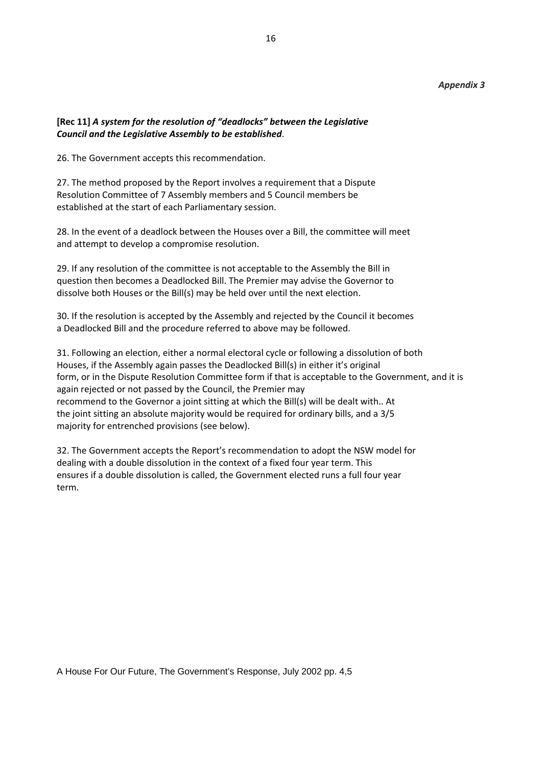#### *Appendix 3*

### **[Rec 11]** *A system for the resolution of "deadlocks" between the Legislative Council and the Legislative Assembly to be established*.

26. The Government accepts this recommendation.

27. The method proposed by the Report involves a requirement that a Dispute Resolution Committee of 7 Assembly members and 5 Council members be established at the start of each Parliamentary session.

28. In the event of a deadlock between the Houses over a Bill, the committee will meet and attempt to develop a compromise resolution.

29. If any resolution of the committee is not acceptable to the Assembly the Bill in question then becomes a Deadlocked Bill. The Premier may advise the Governor to dissolve both Houses or the Bill(s) may be held over until the next election.

30. If the resolution is accepted by the Assembly and rejected by the Council it becomes a Deadlocked Bill and the procedure referred to above may be followed.

31. Following an election, either a normal electoral cycle or following a dissolution of both Houses, if the Assembly again passes the Deadlocked Bill(s) in either it's original form, or in the Dispute Resolution Committee form if that is acceptable to the Government, and it is again rejected or not passed by the Council, the Premier may recommend to the Governor a joint sitting at which the Bill(s) will be dealt with.. At the joint sitting an absolute majority would be required for ordinary bills, and a 3/5 majority for entrenched provisions (see below).

32. The Government accepts the Report's recommendation to adopt the NSW model for dealing with a double dissolution in the context of a fixed four year term. This ensures if a double dissolution is called, the Government elected runs a full four year term.

A House For Our Future, The Government's Response, July 2002 pp. 4,5